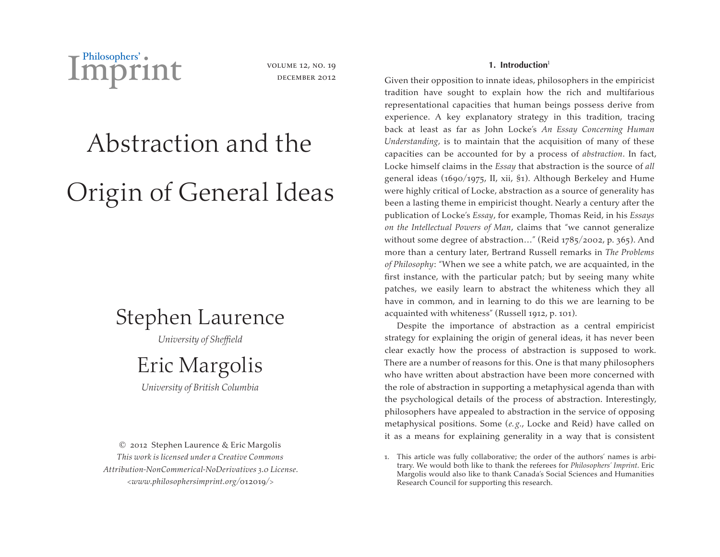

volume 12, no. 19 DECEMBER 2012

# Abstraction and the Origin of General Ideas

# Stephen Laurence

*University of Sheffield*

# Eric Margolis

*University of British Columbia*

© 2012 Stephen Laurence & Eric Margolis *This work is licensed under a Creative Commons Attribution-NonCommerical-NoDerivatives 3.0 License. <www.philosophersimprint.org/*012019*/>*

# **1. Introduction**<sup>1</sup>

Given their opposition to innate ideas, philosophers in the empiricist tradition have sought to explain how the rich and multifarious representational capacities that human beings possess derive from experience. A key explanatory strategy in this tradition, tracing back at least as far as John Locke's *An Essay Concerning Human Understanding,* is to maintain that the acquisition of many of these capacities can be accounted for by a process of *abstraction*. In fact, Locke himself claims in the *Essay* that abstraction is the source of *all* general ideas (1690/1975, II, xii, §1). Although Berkeley and Hume were highly critical of Locke, abstraction as a source of generality has been a lasting theme in empiricist thought. Nearly a century after the publication of Locke's *Essay*, for example, Thomas Reid, in his *Essays on the Intellectual Powers of Man*, claims that "we cannot generalize without some degree of abstraction…" (Reid 1785/2002, p. 365). And more than a century later, Bertrand Russell remarks in *The Problems of Philosophy*: "When we see a white patch, we are acquainted, in the first instance, with the particular patch; but by seeing many white patches, we easily learn to abstract the whiteness which they all have in common, and in learning to do this we are learning to be acquainted with whiteness" (Russell 1912, p. 101).

Despite the importance of abstraction as a central empiricist strategy for explaining the origin of general ideas, it has never been clear exactly how the process of abstraction is supposed to work. There are a number of reasons for this. One is that many philosophers who have written about abstraction have been more concerned with the role of abstraction in supporting a metaphysical agenda than with the psychological details of the process of abstraction. Interestingly, philosophers have appealed to abstraction in the service of opposing metaphysical positions. Some (*e. g*., Locke and Reid) have called on it as a means for explaining generality in a way that is consistent

1. This article was fully collaborative; the order of the authors' names is arbitrary. We would both like to thank the referees for *Philosophers' Imprint*. Eric Margolis would also like to thank Canada's Social Sciences and Humanities Research Council for supporting this research.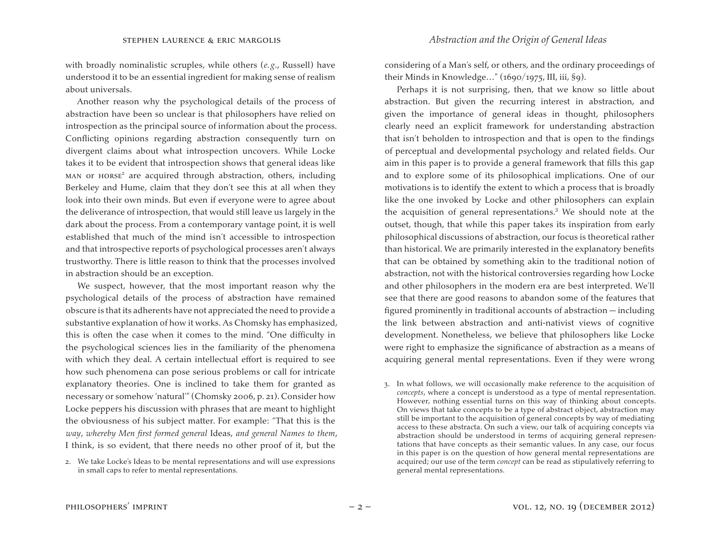with broadly nominalistic scruples, while others (*e. g*., Russell) have understood it to be an essential ingredient for making sense of realism about universals.

Another reason why the psychological details of the process of abstraction have been so unclear is that philosophers have relied on introspection as the principal source of information about the process. Conflicting opinions regarding abstraction consequently turn on divergent claims about what introspection uncovers. While Locke takes it to be evident that introspection shows that general ideas like MAN OT HORSE<sup>2</sup> are acquired through abstraction, others, including Berkeley and Hume, claim that they don't see this at all when they look into their own minds. But even if everyone were to agree about the deliverance of introspection, that would still leave us largely in the dark about the process. From a contemporary vantage point, it is well established that much of the mind isn't accessible to introspection and that introspective reports of psychological processes aren't always trustworthy. There is little reason to think that the processes involved in abstraction should be an exception.

We suspect, however, that the most important reason why the psychological details of the process of abstraction have remained obscure is that its adherents have not appreciated the need to provide a substantive explanation of how it works. As Chomsky has emphasized, this is often the case when it comes to the mind. "One difficulty in the psychological sciences lies in the familiarity of the phenomena with which they deal. A certain intellectual effort is required to see how such phenomena can pose serious problems or call for intricate explanatory theories. One is inclined to take them for granted as necessary or somehow 'natural'" (Chomsky 2006, p. 21). Consider how Locke peppers his discussion with phrases that are meant to highlight the obviousness of his subject matter. For example: "That this is the *way*, *whereby Men first formed general* Ideas, *and general Names to them*, I think, is so evident, that there needs no other proof of it, but the

considering of a Man's self, or others, and the ordinary proceedings of their Minds in Knowledge..."  $(1690/1975, III, iii, §9)$ .

Perhaps it is not surprising, then, that we know so little about abstraction. But given the recurring interest in abstraction, and given the importance of general ideas in thought, philosophers clearly need an explicit framework for understanding abstraction that isn't beholden to introspection and that is open to the findings of perceptual and developmental psychology and related fields. Our aim in this paper is to provide a general framework that fills this gap and to explore some of its philosophical implications. One of our motivations is to identify the extent to which a process that is broadly like the one invoked by Locke and other philosophers can explain the acquisition of general representations.<sup>3</sup> We should note at the outset, though, that while this paper takes its inspiration from early philosophical discussions of abstraction, our focus is theoretical rather than historical. We are primarily interested in the explanatory benefits that can be obtained by something akin to the traditional notion of abstraction, not with the historical controversies regarding how Locke and other philosophers in the modern era are best interpreted. We'll see that there are good reasons to abandon some of the features that figured prominently in traditional accounts of abstraction — including the link between abstraction and anti-nativist views of cognitive development. Nonetheless, we believe that philosophers like Locke were right to emphasize the significance of abstraction as a means of acquiring general mental representations. Even if they were wrong

<sup>2.</sup> We take Locke's Ideas to be mental representations and will use expressions in small caps to refer to mental representations.

<sup>3.</sup> In what follows, we will occasionally make reference to the acquisition of *concepts*, where a concept is understood as a type of mental representation. However, nothing essential turns on this way of thinking about concepts. On views that take concepts to be a type of abstract object, abstraction may still be important to the acquisition of general concepts by way of mediating access to these abstracta. On such a view, our talk of acquiring concepts via abstraction should be understood in terms of acquiring general representations that have concepts as their semantic values. In any case, our focus in this paper is on the question of how general mental representations are acquired; our use of the term *concept* can be read as stipulatively referring to general mental representations.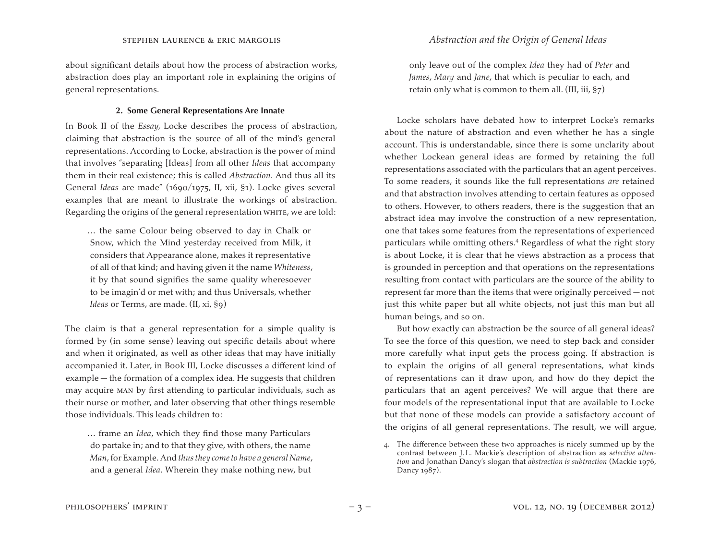about significant details about how the process of abstraction works, abstraction does play an important role in explaining the origins of general representations.

#### **2. Some General Representations Are Innate**

In Book II of the *Essay,* Locke describes the process of abstraction, claiming that abstraction is the source of all of the mind's general representations. According to Locke, abstraction is the power of mind that involves "separating [Ideas] from all other *Ideas* that accompany them in their real existence; this is called *Abstraction*. And thus all its General *Ideas* are made" (1690/1975, II, xii, §1). Locke gives several examples that are meant to illustrate the workings of abstraction. Regarding the origins of the general representation whire, we are told:

… the same Colour being observed to day in Chalk or Snow, which the Mind yesterday received from Milk, it considers that Appearance alone, makes it representative of all of that kind; and having given it the name *Whiteness*, it by that sound signifies the same quality wheresoever to be imagin'd or met with; and thus Universals, whether *Ideas* or Terms, are made. (II, xi, §9)

The claim is that a general representation for a simple quality is formed by (in some sense) leaving out specific details about where and when it originated, as well as other ideas that may have initially accompanied it. Later, in Book III, Locke discusses a different kind of example — the formation of a complex idea. He suggests that children may acquire man by first attending to particular individuals, such as their nurse or mother, and later observing that other things resemble those individuals. This leads children to:

… frame an *Idea*, which they find those many Particulars do partake in; and to that they give, with others, the name *Man*,for Example.And *thus they come to have a general Name*, and a general *Idea*. Wherein they make nothing new, but

only leave out of the complex *Idea* they had of *Peter* and *James*, *Mary* and *Jane*, that which is peculiar to each, and retain only what is common to them all. (III, iii,  $\S$ 7)

Locke scholars have debated how to interpret Locke's remarks about the nature of abstraction and even whether he has a single account. This is understandable, since there is some unclarity about whether Lockean general ideas are formed by retaining the full representations associated with the particulars that an agent perceives. To some readers, it sounds like the full representations *are* retained and that abstraction involves attending to certain features as opposed to others. However, to others readers, there is the suggestion that an abstract idea may involve the construction of a new representation, one that takes some features from the representations of experienced particulars while omitting others.<sup>4</sup> Regardless of what the right story is about Locke, it is clear that he views abstraction as a process that is grounded in perception and that operations on the representations resulting from contact with particulars are the source of the ability to represent far more than the items that were originally perceived — not just this white paper but all white objects, not just this man but all human beings, and so on.

But how exactly can abstraction be the source of all general ideas? To see the force of this question, we need to step back and consider more carefully what input gets the process going. If abstraction is to explain the origins of all general representations, what kinds of representations can it draw upon, and how do they depict the particulars that an agent perceives? We will argue that there are four models of the representational input that are available to Locke but that none of these models can provide a satisfactory account of the origins of all general representations. The result, we will argue,

<sup>4.</sup> The difference between these two approaches is nicely summed up by the contrast between J.L. Mackie's description of abstraction as *selective attention* and Jonathan Dancy's slogan that *abstraction is subtraction* (Mackie 1976, Dancy 1987).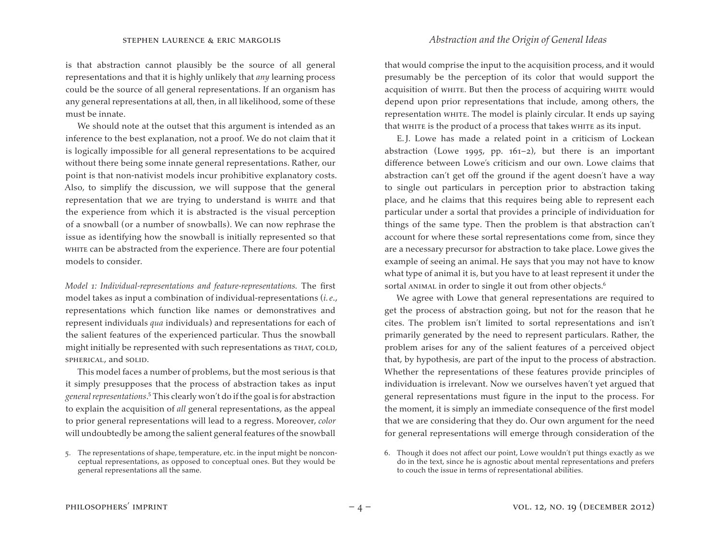is that abstraction cannot plausibly be the source of all general representations and that it is highly unlikely that *any* learning process could be the source of all general representations. If an organism has any general representations at all, then, in all likelihood, some of these must be innate.

We should note at the outset that this argument is intended as an inference to the best explanation, not a proof. We do not claim that it is logically impossible for all general representations to be acquired without there being some innate general representations. Rather, our point is that non-nativist models incur prohibitive explanatory costs. Also, to simplify the discussion, we will suppose that the general representation that we are trying to understand is whire and that the experience from which it is abstracted is the visual perception of a snowball (or a number of snowballs). We can now rephrase the issue as identifying how the snowball is initially represented so that WHITE can be abstracted from the experience. There are four potential models to consider.

*Model 1: Individual-representations and feature-representations.* The first model takes as input a combination of individual-representations (*i. e*., representations which function like names or demonstratives and represent individuals *qua* individuals) and representations for each of the salient features of the experienced particular. Thus the snowball might initially be represented with such representations as THAT, COLD, spherical, and solid.

This model faces a number of problems, but the most serious is that it simply presupposes that the process of abstraction takes as input g*eneral representations.*<sup>5</sup> This clearly won't do if the goal is for abstraction to explain the acquisition of *all* general representations, as the appeal to prior general representations will lead to a regress. Moreover, *color* will undoubtedly be among the salient general features of the snowball

that would comprise the input to the acquisition process, and it would presumably be the perception of its color that would support the acquisition of whire. But then the process of acquiring whire would depend upon prior representations that include, among others, the representation white. The model is plainly circular. It ends up saying that white is the product of a process that takes white as its input.

E.J. Lowe has made a related point in a criticism of Lockean abstraction (Lowe 1995, pp. 161–2), but there is an important difference between Lowe's criticism and our own. Lowe claims that abstraction can't get off the ground if the agent doesn't have a way to single out particulars in perception prior to abstraction taking place, and he claims that this requires being able to represent each particular under a sortal that provides a principle of individuation for things of the same type. Then the problem is that abstraction can't account for where these sortal representations come from, since they are a necessary precursor for abstraction to take place. Lowe gives the example of seeing an animal. He says that you may not have to know what type of animal it is, but you have to at least represent it under the sortal ANIMAL in order to single it out from other objects.<sup>6</sup>

We agree with Lowe that general representations are required to get the process of abstraction going, but not for the reason that he cites. The problem isn't limited to sortal representations and isn't primarily generated by the need to represent particulars. Rather, the problem arises for any of the salient features of a perceived object that, by hypothesis, are part of the input to the process of abstraction. Whether the representations of these features provide principles of individuation is irrelevant. Now we ourselves haven't yet argued that general representations must figure in the input to the process. For the moment, it is simply an immediate consequence of the first model that we are considering that they do. Our own argument for the need for general representations will emerge through consideration of the

<sup>5.</sup> The representations of shape, temperature, etc. in the input might be nonconceptual representations, as opposed to conceptual ones. But they would be general representations all the same.

<sup>6.</sup> Though it does not affect our point, Lowe wouldn't put things exactly as we do in the text, since he is agnostic about mental representations and prefers to couch the issue in terms of representational abilities.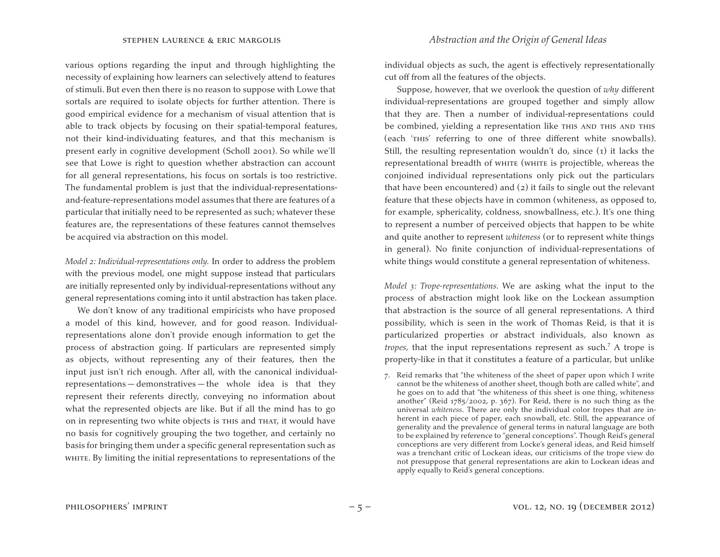various options regarding the input and through highlighting the necessity of explaining how learners can selectively attend to features of stimuli. But even then there is no reason to suppose with Lowe that sortals are required to isolate objects for further attention. There is good empirical evidence for a mechanism of visual attention that is able to track objects by focusing on their spatial-temporal features, not their kind-individuating features, and that this mechanism is present early in cognitive development (Scholl 2001). So while we'll see that Lowe is right to question whether abstraction can account for all general representations, his focus on sortals is too restrictive. The fundamental problem is just that the individual-representationsand-feature-representations model assumes that there are features of a particular that initially need to be represented as such; whatever these features are, the representations of these features cannot themselves be acquired via abstraction on this model.

*Model 2: Individual-representations only.* In order to address the problem with the previous model, one might suppose instead that particulars are initially represented only by individual-representations without any general representations coming into it until abstraction has taken place.

We don't know of any traditional empiricists who have proposed a model of this kind, however, and for good reason. Individualrepresentations alone don't provide enough information to get the process of abstraction going. If particulars are represented simply as objects, without representing any of their features, then the input just isn't rich enough. After all, with the canonical individualrepresentations — demonstratives — the whole idea is that they represent their referents directly, conveying no information about what the represented objects are like. But if all the mind has to go on in representing two white objects is this and that, it would have no basis for cognitively grouping the two together, and certainly no basis for bringing them under a specific general representation such as WHITE. By limiting the initial representations to representations of the

individual objects as such, the agent is effectively representationally cut off from all the features of the objects.

Suppose, however, that we overlook the question of *why* different individual-representations are grouped together and simply allow that they are. Then a number of individual-representations could be combined, yielding a representation like THIS AND THIS AND THIS (each 'this' referring to one of three different white snowballs). Still, the resulting representation wouldn't do, since (1) it lacks the representational breadth of white (white is projectible, whereas the conjoined individual representations only pick out the particulars that have been encountered) and (2) it fails to single out the relevant feature that these objects have in common (whiteness, as opposed to, for example, sphericality, coldness, snowballness, etc.). It's one thing to represent a number of perceived objects that happen to be white and quite another to represent *whiteness* (or to represent white things in general). No finite conjunction of individual-representations of white things would constitute a general representation of whiteness.

*Model 3: Trope-representations.* We are asking what the input to the process of abstraction might look like on the Lockean assumption that abstraction is the source of all general representations. A third possibility, which is seen in the work of Thomas Reid, is that it is particularized properties or abstract individuals, also known as *tropes*, that the input representations represent as such.<sup>7</sup> A trope is property-like in that it constitutes a feature of a particular, but unlike

7. Reid remarks that "the whiteness of the sheet of paper upon which I write cannot be the whiteness of another sheet, though both are called white", and he goes on to add that "the whiteness of this sheet is one thing, whiteness another" (Reid 1785/2002, p. 367). For Reid, there is no such thing as the universal *whiteness*. There are only the individual color tropes that are inherent in each piece of paper, each snowball, etc. Still, the appearance of generality and the prevalence of general terms in natural language are both to be explained by reference to "general conceptions". Though Reid's general conceptions are very different from Locke's general ideas, and Reid himself was a trenchant critic of Lockean ideas, our criticisms of the trope view do not presuppose that general representations are akin to Lockean ideas and apply equally to Reid's general conceptions.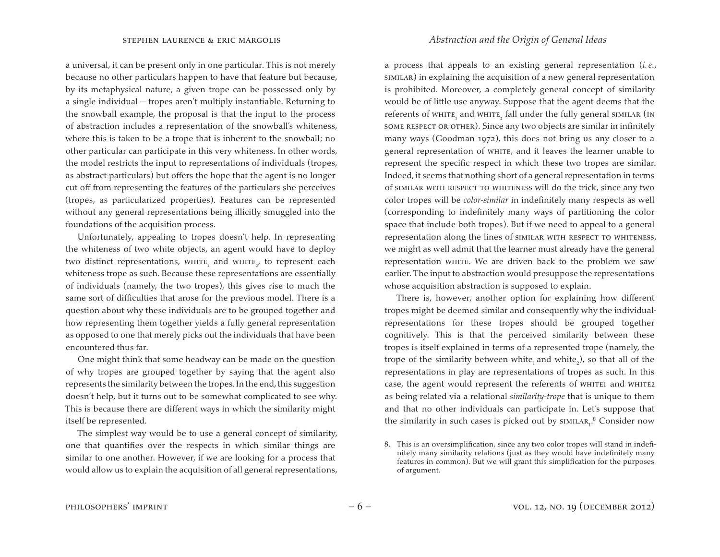a universal, it can be present only in one particular. This is not merely because no other particulars happen to have that feature but because, by its metaphysical nature, a given trope can be possessed only by a single individual — tropes aren't multiply instantiable. Returning to the snowball example, the proposal is that the input to the process of abstraction includes a representation of the snowball's whiteness, where this is taken to be a trope that is inherent to the snowball; no other particular can participate in this very whiteness. In other words, the model restricts the input to representations of individuals (tropes, as abstract particulars) but offers the hope that the agent is no longer cut off from representing the features of the particulars she perceives (tropes, as particularized properties). Features can be represented without any general representations being illicitly smuggled into the foundations of the acquisition process.

Unfortunately, appealing to tropes doesn't help. In representing the whiteness of two white objects, an agent would have to deploy two distinct representations,  $\text{whITE}_1$  and  $\text{whITE}_{2^\prime}$  to represent each whiteness trope as such. Because these representations are essentially of individuals (namely, the two tropes), this gives rise to much the same sort of difficulties that arose for the previous model. There is a question about why these individuals are to be grouped together and how representing them together yields a fully general representation as opposed to one that merely picks out the individuals that have been encountered thus far.

One might think that some headway can be made on the question of why tropes are grouped together by saying that the agent also represents the similarity between the tropes. In the end, this suggestion doesn't help, but it turns out to be somewhat complicated to see why. This is because there are different ways in which the similarity might itself be represented.

The simplest way would be to use a general concept of similarity, one that quantifies over the respects in which similar things are similar to one another. However, if we are looking for a process that would allow us to explain the acquisition of all general representations,

a process that appeals to an existing general representation (*i. e*., similar) in explaining the acquisition of a new general representation is prohibited. Moreover, a completely general concept of similarity would be of little use anyway. Suppose that the agent deems that the referents of white, and white, fall under the fully general similar (in some respect or other). Since any two objects are similar in infinitely many ways (Goodman 1972), this does not bring us any closer to a general representation of WHITE, and it leaves the learner unable to represent the specific respect in which these two tropes are similar. Indeed, it seems that nothing short of a general representation in terms of similar with respect to whiteness will do the trick, since any two color tropes will be *color-similar* in indefinitely many respects as well (corresponding to indefinitely many ways of partitioning the color space that include both tropes). But if we need to appeal to a general representation along the lines of similar with respect to whiteness, we might as well admit that the learner must already have the general representation white. We are driven back to the problem we saw earlier. The input to abstraction would presuppose the representations whose acquisition abstraction is supposed to explain.

There is, however, another option for explaining how different tropes might be deemed similar and consequently why the individualrepresentations for these tropes should be grouped together cognitively. This is that the perceived similarity between these tropes is itself explained in terms of a represented trope (namely, the trope of the similarity between white<sub>1</sub> and white<sub>2</sub>), so that all of the representations in play are representations of tropes as such. In this case, the agent would represent the referents of WHITE1 and WHITE2 as being related via a relational *similarity-trope* that is unique to them and that no other individuals can participate in. Let's suppose that the similarity in such cases is picked out by  $\textsc{sim}$   $\textsc{land}_\textsc{i}$ <sup>8</sup> Consider now

<sup>8.</sup> This is an oversimplification, since any two color tropes will stand in indefinitely many similarity relations (just as they would have indefinitely many features in common). But we will grant this simplification for the purposes of argument.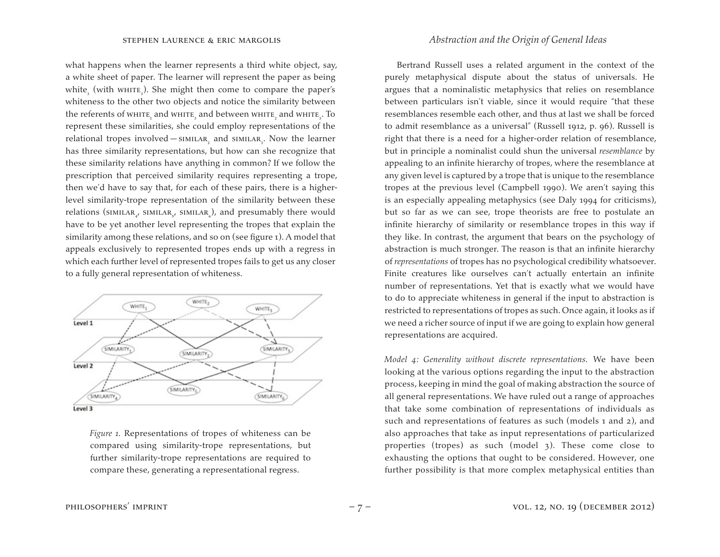what happens when the learner represents a third white object, say, a white sheet of paper. The learner will represent the paper as being white $_{\text{\tiny S}}$  (with whire $_{\text{\tiny S}}$ ). She might then come to compare the paper's whiteness to the other two objects and notice the similarity between the referents of whirt, and whirt, and between whirt, and whirt, To represent these similarities, she could employ representations of the relational tropes involved— $\textsc{simllar}_{2}$  and  $\textsc{simllar}_{3}$ . Now the learner has three similarity representations, but how can she recognize that these similarity relations have anything in common? If we follow the prescription that perceived similarity requires representing a trope, then we'd have to say that, for each of these pairs, there is a higherlevel similarity-trope representation of the similarity between these relations ( $\textsf{simllar}_{\scriptscriptstyle{4'}}$   $\textsf{simllar}_{\scriptscriptstyle{5'}}$   $\textsf{simllar}_{\scriptscriptstyle{6}}$ ), and presumably there would have to be yet another level representing the tropes that explain the similarity among these relations, and so on (see figure 1). A model that appeals exclusively to represented tropes ends up with a regress in which each further level of represented tropes fails to get us any closer to a fully general representation of whiteness.



*Figure 1.* Representations of tropes of whiteness can be compared using similarity-trope representations, but further similarity-trope representations are required to compare these, generating a representational regress.

# stephen laurence & eric margolis *Abstraction and the Origin of General Ideas*

Bertrand Russell uses a related argument in the context of the purely metaphysical dispute about the status of universals. He argues that a nominalistic metaphysics that relies on resemblance between particulars isn't viable, since it would require "that these resemblances resemble each other, and thus at last we shall be forced to admit resemblance as a universal" (Russell 1912, p. 96). Russell is right that there is a need for a higher-order relation of resemblance, but in principle a nominalist could shun the universal *resemblance* by appealing to an infinite hierarchy of tropes, where the resemblance at any given level is captured by a trope that is unique to the resemblance tropes at the previous level (Campbell 1990). We aren't saying this is an especially appealing metaphysics (see Daly 1994 for criticisms), but so far as we can see, trope theorists are free to postulate an infinite hierarchy of similarity or resemblance tropes in this way if they like. In contrast, the argument that bears on the psychology of abstraction is much stronger. The reason is that an infinite hierarchy of *representations* of tropes has no psychological credibility whatsoever. Finite creatures like ourselves can't actually entertain an infinite number of representations. Yet that is exactly what we would have to do to appreciate whiteness in general if the input to abstraction is restricted to representations of tropes as such. Once again, it looks as if we need a richer source of input if we are going to explain how general representations are acquired.

*Model 4: Generality without discrete representations.* We have been looking at the various options regarding the input to the abstraction process, keeping in mind the goal of making abstraction the source of all general representations. We have ruled out a range of approaches that take some combination of representations of individuals as such and representations of features as such (models 1 and 2), and also approaches that take as input representations of particularized properties (tropes) as such (model 3). These come close to exhausting the options that ought to be considered. However, one further possibility is that more complex metaphysical entities than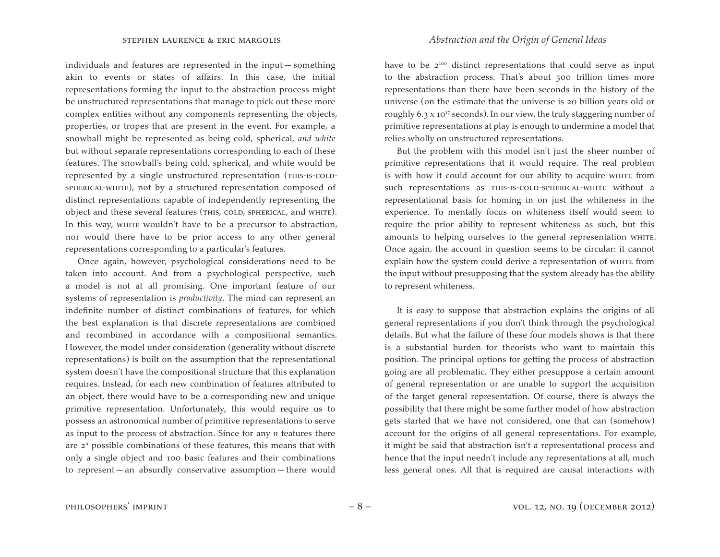individuals and features are represented in the input — something akin to events or states of affairs. In this case, the initial representations forming the input to the abstraction process might be unstructured representations that manage to pick out these more complex entities without any components representing the objects, properties, or tropes that are present in the event. For example, a snowball might be represented as being cold, spherical, *and white*  but without separate representations corresponding to each of these features. The snowball's being cold, spherical, and white would be represented by a single unstructured representation (THIS-IS-COLDspherical-white), not by a structured representation composed of distinct representations capable of independently representing the object and these several features (THIS, COLD, SPHERICAL, and WHITE). In this way, white wouldn't have to be a precursor to abstraction, nor would there have to be prior access to any other general representations corresponding to a particular's features.

Once again, however, psychological considerations need to be taken into account. And from a psychological perspective, such a model is not at all promising. One important feature of our systems of representation is *productivity*. The mind can represent an indefinite number of distinct combinations of features, for which the best explanation is that discrete representations are combined and recombined in accordance with a compositional semantics. However, the model under consideration (generality without discrete representations) is built on the assumption that the representational system doesn't have the compositional structure that this explanation requires. Instead, for each new combination of features attributed to an object, there would have to be a corresponding new and unique primitive representation. Unfortunately, this would require us to possess an astronomical number of primitive representations to serve as input to the process of abstraction. Since for any *n* features there are  $2<sup>n</sup>$  possible combinations of these features, this means that with only a single object and 100 basic features and their combinations to represent — an absurdly conservative assumption — there would

have to be  $2^{100}$  distinct representations that could serve as input to the abstraction process. That's about 500 trillion times more representations than there have been seconds in the history of the universe (on the estimate that the universe is 20 billion years old or roughly  $6.3 \times 10^{17}$  seconds). In our view, the truly staggering number of primitive representations at play is enough to undermine a model that relies wholly on unstructured representations.

But the problem with this model isn't just the sheer number of primitive representations that it would require. The real problem is with how it could account for our ability to acquire white from such representations as THIS-IS-COLD-SPHERICAL-WHITE without a representational basis for homing in on just the whiteness in the experience. To mentally focus on whiteness itself would seem to require the prior ability to represent whiteness as such, but this amounts to helping ourselves to the general representation whire. Once again, the account in question seems to be circular: it cannot explain how the system could derive a representation of white from the input without presupposing that the system already has the ability to represent whiteness.

It is easy to suppose that abstraction explains the origins of all general representations if you don't think through the psychological details. But what the failure of these four models shows is that there is a substantial burden for theorists who want to maintain this position. The principal options for getting the process of abstraction going are all problematic. They either presuppose a certain amount of general representation or are unable to support the acquisition of the target general representation. Of course, there is always the possibility that there might be some further model of how abstraction gets started that we have not considered, one that can (somehow) account for the origins of all general representations. For example, it might be said that abstraction isn't a representational process and hence that the input needn't include any representations at all, much less general ones. All that is required are causal interactions with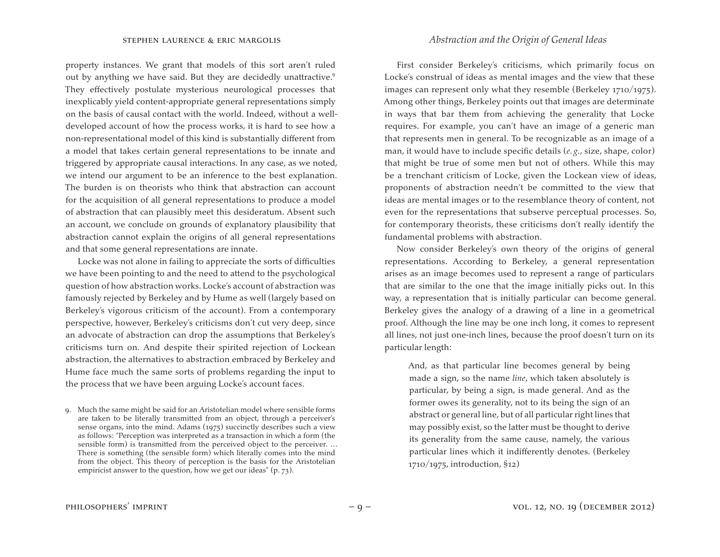property instances. We grant that models of this sort aren't ruled out by anything we have said. But they are decidedly unattractive.<sup>9</sup> They effectively postulate mysterious neurological processes that inexplicably yield content-appropriate general representations simply on the basis of causal contact with the world. Indeed, without a welldeveloped account of how the process works, it is hard to see how a non-representational model of this kind is substantially different from a model that takes certain general representations to be innate and triggered by appropriate causal interactions. In any case, as we noted, we intend our argument to be an inference to the best explanation. The burden is on theorists who think that abstraction can account for the acquisition of all general representations to produce a model of abstraction that can plausibly meet this desideratum. Absent such an account, we conclude on grounds of explanatory plausibility that abstraction cannot explain the origins of all general representations and that some general representations are innate.

Locke was not alone in failing to appreciate the sorts of difficulties we have been pointing to and the need to attend to the psychological question of how abstraction works. Locke's account of abstraction was famously rejected by Berkeley and by Hume as well (largely based on Berkeley's vigorous criticism of the account). From a contemporary perspective, however, Berkeley's criticisms don't cut very deep, since an advocate of abstraction can drop the assumptions that Berkeley's criticisms turn on. And despite their spirited rejection of Lockean abstraction, the alternatives to abstraction embraced by Berkeley and Hume face much the same sorts of problems regarding the input to the process that we have been arguing Locke's account faces.

# stephen laurence & eric margolis *Abstraction and the Origin of General Ideas*

First consider Berkeley's criticisms, which primarily focus on Locke's construal of ideas as mental images and the view that these images can represent only what they resemble (Berkeley 1710/1975). Among other things, Berkeley points out that images are determinate in ways that bar them from achieving the generality that Locke requires. For example, you can't have an image of a generic man that represents men in general. To be recognizable as an image of a man, it would have to include specific details (*e.g.*, size, shape, color) that might be true of some men but not of others. While this may be a trenchant criticism of Locke, given the Lockean view of ideas, proponents of abstraction needn't be committed to the view that ideas are mental images or to the resemblance theory of content, not even for the representations that subserve perceptual processes. So, for contemporary theorists, these criticisms don't really identify the fundamental problems with abstraction.

Now consider Berkeley's own theory of the origins of general representations. According to Berkeley, a general representation arises as an image becomes used to represent a range of particulars that are similar to the one that the image initially picks out. In this way, a representation that is initially particular can become general. Berkeley gives the analogy of a drawing of a line in a geometrical proof. Although the line may be one inch long, it comes to represent all lines, not just one-inch lines, because the proof doesn't turn on its particular length:

And, as that particular line becomes general by being made a sign, so the name *line*, which taken absolutely is particular, by being a sign, is made general. And as the former owes its generality, not to its being the sign of an abstract or general line, but of all particular right lines that may possibly exist, so the latter must be thought to derive its generality from the same cause, namely, the various particular lines which it indifferently denotes. (Berkeley 1710/1975, introduction, §12)

<sup>9.</sup> Much the same might be said for an Aristotelian model where sensible forms are taken to be literally transmitted from an object, through a perceiver's sense organs, into the mind. Adams (1975) succinctly describes such a view as follows: "Perception was interpreted as a transaction in which a form (the sensible form) is transmitted from the perceived object to the perceiver. … There is something (the sensible form) which literally comes into the mind from the object. This theory of perception is the basis for the Aristotelian empiricist answer to the question, how we get our ideas" (p. 73).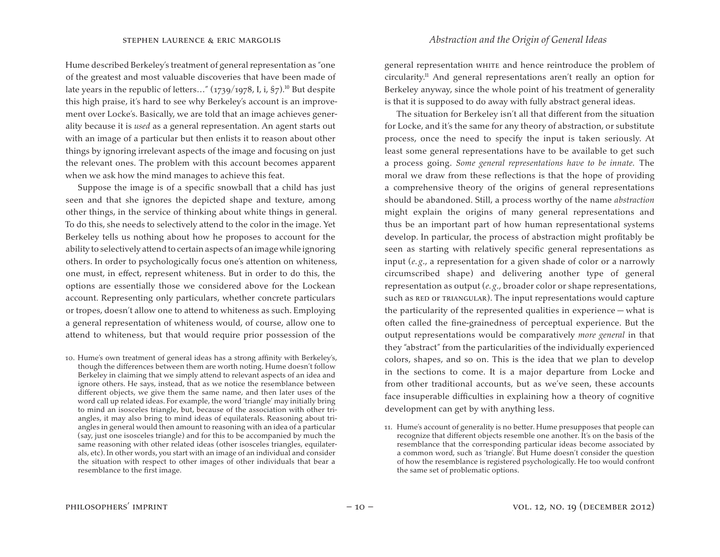Hume described Berkeley's treatment of general representation as "one of the greatest and most valuable discoveries that have been made of late years in the republic of letters..."  $(1739/1978, I, i, §7)$ <sup>10</sup> But despite this high praise, it's hard to see why Berkeley's account is an improvement over Locke's. Basically, we are told that an image achieves generality because it is *used* as a general representation. An agent starts out with an image of a particular but then enlists it to reason about other things by ignoring irrelevant aspects of the image and focusing on just the relevant ones. The problem with this account becomes apparent when we ask how the mind manages to achieve this feat.

Suppose the image is of a specific snowball that a child has just seen and that she ignores the depicted shape and texture, among other things, in the service of thinking about white things in general. To do this, she needs to selectively attend to the color in the image. Yet Berkeley tells us nothing about how he proposes to account for the ability to selectively attend to certainaspects of animage while ignoring others. In order to psychologically focus one's attention on whiteness, one must, in effect, represent whiteness. But in order to do this, the options are essentially those we considered above for the Lockean account. Representing only particulars, whether concrete particulars or tropes, doesn't allow one to attend to whiteness as such. Employing a general representation of whiteness would, of course, allow one to attend to whiteness, but that would require prior possession of the

10. Hume's own treatment of general ideas has a strong affinity with Berkeley's, though the differences between them are worth noting. Hume doesn't follow Berkeley in claiming that we simply attend to relevant aspects of an idea and ignore others. He says, instead, that as we notice the resemblance between different objects, we give them the same name, and then later uses of the word call up related ideas. For example, the word 'triangle' may initially bring to mind an isosceles triangle, but, because of the association with other triangles, it may also bring to mind ideas of equilaterals. Reasoning about triangles in general would then amount to reasoning with an idea of a particular (say, just one isosceles triangle) and for this to be accompanied by much the same reasoning with other related ideas (other isosceles triangles, equilaterals, etc). In other words, you start with an image of an individual and consider the situation with respect to other images of other individuals that bear a resemblance to the first image.

general representation white and hence reintroduce the problem of circularity.<sup>11</sup> And general representations aren't really an option for Berkeley anyway, since the whole point of his treatment of generality is that it is supposed to do away with fully abstract general ideas.

The situation for Berkeley isn't all that different from the situation for Locke, and it's the same for any theory of abstraction, or substitute process, once the need to specify the input is taken seriously. At least some general representations have to be available to get such a process going. *Some general representations have to be innate.* The moral we draw from these reflections is that the hope of providing a comprehensive theory of the origins of general representations should be abandoned. Still, a process worthy of the name *abstraction* might explain the origins of many general representations and thus be an important part of how human representational systems develop. In particular, the process of abstraction might profitably be seen as starting with relatively specific general representations as input (*e. g*., a representation for a given shade of color or a narrowly circumscribed shape) and delivering another type of general representation as output (*e. g*., broader color or shape representations, such as RED OT TRIANGULAR). The input representations would capture the particularity of the represented qualities in experience — what is often called the fine-grainedness of perceptual experience. But the output representations would be comparatively *more general* in that they "abstract" from the particularities of the individually experienced colors, shapes, and so on. This is the idea that we plan to develop in the sections to come. It is a major departure from Locke and from other traditional accounts, but as we've seen, these accounts face insuperable difficulties in explaining how a theory of cognitive development can get by with anything less.

<sup>11.</sup> Hume's account of generality is no better. Hume presupposes that people can recognize that different objects resemble one another. It's on the basis of the resemblance that the corresponding particular ideas become associated by a common word, such as 'triangle'. But Hume doesn't consider the question of how the resemblance is registered psychologically. He too would confront the same set of problematic options.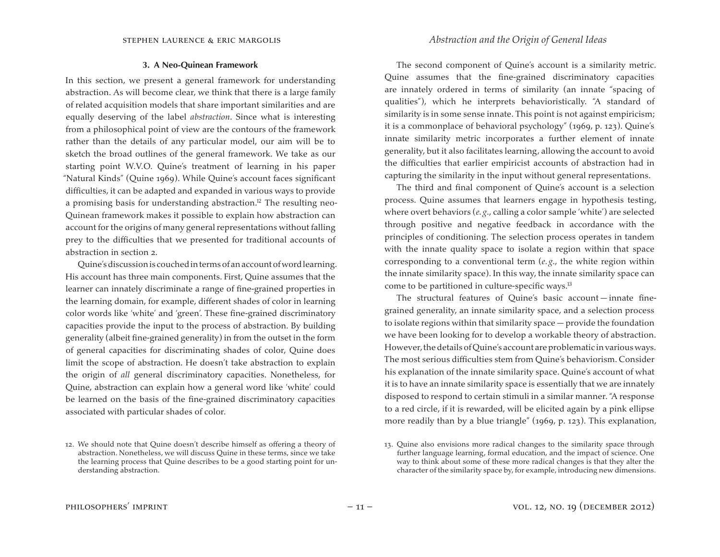# stephen laurence & eric margolis *Abstraction and the Origin of General Ideas*

#### **3. A Neo-Quinean Framework**

In this section, we present a general framework for understanding abstraction. As will become clear, we think that there is a large family of related acquisition models that share important similarities and are equally deserving of the label *abstraction*. Since what is interesting from a philosophical point of view are the contours of the framework rather than the details of any particular model, our aim will be to sketch the broad outlines of the general framework. We take as our starting point W.V.O. Quine's treatment of learning in his paper "Natural Kinds" (Quine 1969). While Quine's account faces significant difficulties, it can be adapted and expanded in various ways to provide a promising basis for understanding abstraction.<sup>12</sup> The resulting neo-Quinean framework makes it possible to explain how abstraction can account for the origins of many general representations without falling prey to the difficulties that we presented for traditional accounts of abstraction in section 2.

Quine's discussion is couched in terms of an account of word learning. His account has three main components. First, Quine assumes that the learner can innately discriminate a range of fine-grained properties in the learning domain, for example, different shades of color in learning color words like 'white' and 'green'. These fine-grained discriminatory capacities provide the input to the process of abstraction. By building generality (albeit fine-grained generality) in from the outset in the form of general capacities for discriminating shades of color, Quine does limit the scope of abstraction. He doesn't take abstraction to explain the origin of *all* general discriminatory capacities. Nonetheless, for Quine, abstraction can explain how a general word like 'white' could be learned on the basis of the fine-grained discriminatory capacities associated with particular shades of color.

The second component of Quine's account is a similarity metric. Quine assumes that the fine-grained discriminatory capacities are innately ordered in terms of similarity (an innate "spacing of qualities"), which he interprets behavioristically. "A standard of similarity is in some sense innate. This point is not against empiricism; it is a commonplace of behavioral psychology" (1969, p. 123). Quine's innate similarity metric incorporates a further element of innate generality, but it also facilitates learning, allowing the account to avoid the difficulties that earlier empiricist accounts of abstraction had in capturing the similarity in the input without general representations.

The third and final component of Quine's account is a selection process. Quine assumes that learners engage in hypothesis testing, where overt behaviors (*e. g*., calling a color sample 'white') are selected through positive and negative feedback in accordance with the principles of conditioning. The selection process operates in tandem with the innate quality space to isolate a region within that space corresponding to a conventional term (*e. g*., the white region within the innate similarity space). In this way, the innate similarity space can come to be partitioned in culture-specific ways.<sup>13</sup>

The structural features of Quine's basic account — innate finegrained generality, an innate similarity space, and a selection process to isolate regions within that similarity space — provide the foundation we have been looking for to develop a workable theory of abstraction. However, the details of Quine's account are problematic in various ways. The most serious difficulties stem from Quine's behaviorism. Consider his explanation of the innate similarity space. Quine's account of what it is to have an innate similarity space is essentially that we are innately disposed to respond to certain stimuli in a similar manner. "A response to a red circle, if it is rewarded, will be elicited again by a pink ellipse more readily than by a blue triangle" (1969, p. 123). This explanation,

<sup>12.</sup> We should note that Quine doesn't describe himself as offering a theory of abstraction. Nonetheless, we will discuss Quine in these terms, since we take the learning process that Quine describes to be a good starting point for understanding abstraction.

<sup>13.</sup> Quine also envisions more radical changes to the similarity space through further language learning, formal education, and the impact of science. One way to think about some of these more radical changes is that they alter the character of the similarity space by, for example, introducing new dimensions.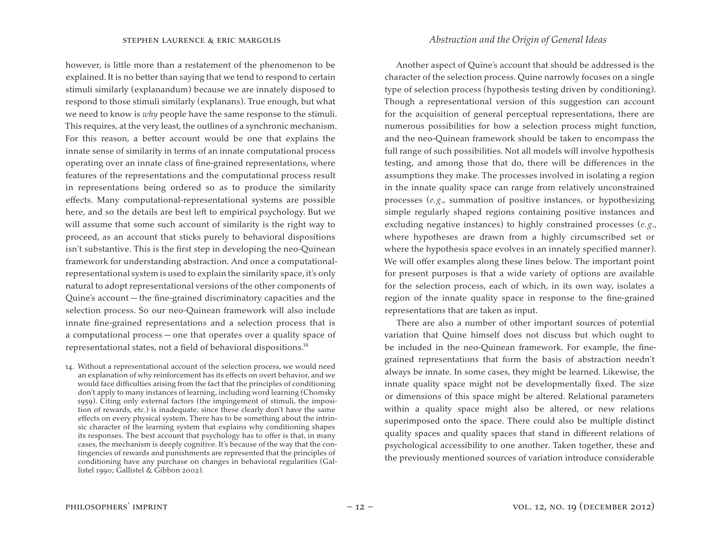however, is little more than a restatement of the phenomenon to be explained. It is no better than saying that we tend to respond to certain stimuli similarly (explanandum) because we are innately disposed to respond to those stimuli similarly (explanans). True enough, but what we need to know is *why* people have the same response to the stimuli. This requires, at the very least, the outlines of a synchronic mechanism. For this reason, a better account would be one that explains the innate sense of similarity in terms of an innate computational process operating over an innate class of fine-grained representations, where features of the representations and the computational process result in representations being ordered so as to produce the similarity effects. Many computational-representational systems are possible here, and so the details are best left to empirical psychology. But we will assume that some such account of similarity is the right way to proceed, as an account that sticks purely to behavioral dispositions isn't substantive. This is the first step in developing the neo-Quinean framework for understanding abstraction. And once a computationalrepresentational system is used to explain the similarity space, it's only natural to adopt representational versions of the other components of Quine's account — the fine-grained discriminatory capacities and the selection process. So our neo-Quinean framework will also include innate fine-grained representations and a selection process that is a computational process — one that operates over a quality space of representational states, not a field of behavioral dispositions.<sup>14</sup>

14. Without a representational account of the selection process, we would need an explanation of why reinforcement has its effects on overt behavior, and we would face difficulties arising from the fact that the principles of conditioning don't apply to many instances of learning, including word learning (Chomsky 1959). Citing only external factors (the impingement of stimuli, the imposition of rewards, etc.) is inadequate, since these clearly don't have the same effects on every physical system. There has to be something about the intrinsic character of the learning system that explains why conditioning shapes its responses. The best account that psychology has to offer is that, in many cases, the mechanism is deeply cognitive. It's because of the way that the contingencies of rewards and punishments are represented that the principles of conditioning have any purchase on changes in behavioral regularities (Gallistel 1990; Gallistel & Gibbon 2002).

Another aspect of Quine's account that should be addressed is the character of the selection process. Quine narrowly focuses on a single type of selection process (hypothesis testing driven by conditioning). Though a representational version of this suggestion can account for the acquisition of general perceptual representations, there are numerous possibilities for how a selection process might function, and the neo-Quinean framework should be taken to encompass the full range of such possibilities. Not all models will involve hypothesis testing, and among those that do, there will be differences in the assumptions they make. The processes involved in isolating a region in the innate quality space can range from relatively unconstrained processes (*e. g*., summation of positive instances, or hypothesizing simple regularly shaped regions containing positive instances and excluding negative instances) to highly constrained processes (*e. g*., where hypotheses are drawn from a highly circumscribed set or where the hypothesis space evolves in an innately specified manner). We will offer examples along these lines below. The important point for present purposes is that a wide variety of options are available for the selection process, each of which, in its own way, isolates a region of the innate quality space in response to the fine-grained representations that are taken as input.

There are also a number of other important sources of potential variation that Quine himself does not discuss but which ought to be included in the neo-Quinean framework. For example, the finegrained representations that form the basis of abstraction needn't always be innate. In some cases, they might be learned. Likewise, the innate quality space might not be developmentally fixed. The size or dimensions of this space might be altered. Relational parameters within a quality space might also be altered, or new relations superimposed onto the space. There could also be multiple distinct quality spaces and quality spaces that stand in different relations of psychological accessibility to one another. Taken together, these and the previously mentioned sources of variation introduce considerable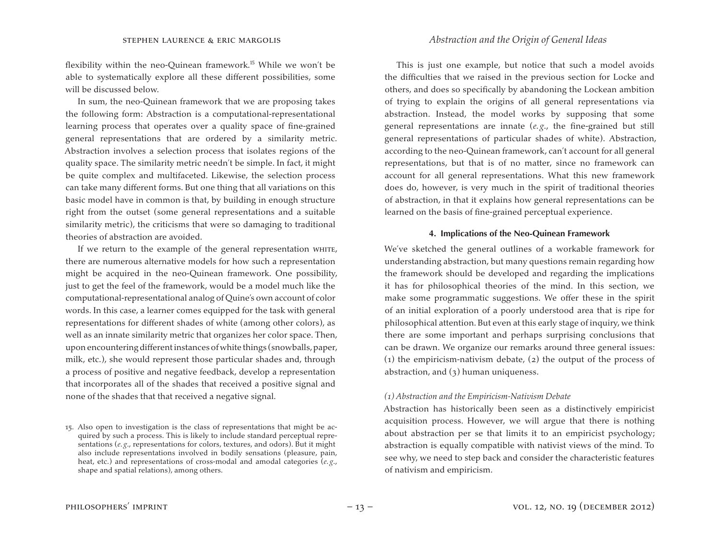flexibility within the neo-Quinean framework.<sup>15</sup> While we won't be able to systematically explore all these different possibilities, some will be discussed below.

In sum, the neo-Quinean framework that we are proposing takes the following form: Abstraction is a computational-representational learning process that operates over a quality space of fine-grained general representations that are ordered by a similarity metric. Abstraction involves a selection process that isolates regions of the quality space. The similarity metric needn't be simple. In fact, it might be quite complex and multifaceted. Likewise, the selection process can take many different forms. But one thing that all variations on this basic model have in common is that, by building in enough structure right from the outset (some general representations and a suitable similarity metric), the criticisms that were so damaging to traditional theories of abstraction are avoided.

If we return to the example of the general representation whire, there are numerous alternative models for how such a representation might be acquired in the neo-Quinean framework. One possibility, just to get the feel of the framework, would be a model much like the computational-representational analog of Quine's own account of color words. In this case, a learner comes equipped for the task with general representations for different shades of white (among other colors), as well as an innate similarity metric that organizes her color space. Then, upon encountering different instances of white things (snowballs, paper, milk, etc.), she would represent those particular shades and, through a process of positive and negative feedback, develop a representation that incorporates all of the shades that received a positive signal and none of the shades that that received a negative signal.

# stephen laurence & eric margolis *Abstraction and the Origin of General Ideas*

This is just one example, but notice that such a model avoids the difficulties that we raised in the previous section for Locke and others, and does so specifically by abandoning the Lockean ambition of trying to explain the origins of all general representations via abstraction. Instead, the model works by supposing that some general representations are innate (*e. g*., the fine-grained but still general representations of particular shades of white). Abstraction, according to the neo-Quinean framework, can't account for all general representations, but that is of no matter, since no framework can account for all general representations. What this new framework does do, however, is very much in the spirit of traditional theories of abstraction, in that it explains how general representations can be learned on the basis of fine-grained perceptual experience.

## **4. Implications of the Neo-Quinean Framework**

We've sketched the general outlines of a workable framework for understanding abstraction, but many questions remain regarding how the framework should be developed and regarding the implications it has for philosophical theories of the mind. In this section, we make some programmatic suggestions. We offer these in the spirit of an initial exploration of a poorly understood area that is ripe for philosophical attention. But even at this early stage of inquiry, we think there are some important and perhaps surprising conclusions that can be drawn. We organize our remarks around three general issues: (1) the empiricism-nativism debate,  $(z)$  the output of the process of abstraction, and  $(3)$  human uniqueness.

### *(1) Abstraction and the Empiricism-Nativism Debate*

Abstraction has historically been seen as a distinctively empiricist acquisition process. However, we will argue that there is nothing about abstraction per se that limits it to an empiricist psychology; abstraction is equally compatible with nativist views of the mind. To see why, we need to step back and consider the characteristic features of nativism and empiricism.

<sup>15.</sup> Also open to investigation is the class of representations that might be acquired by such a process. This is likely to include standard perceptual representations (*e.g.*, representations for colors, textures, and odors). But it might also include representations involved in bodily sensations (pleasure, pain, heat, etc.) and representations of cross-modal and amodal categories (*e. g*., shape and spatial relations), among others.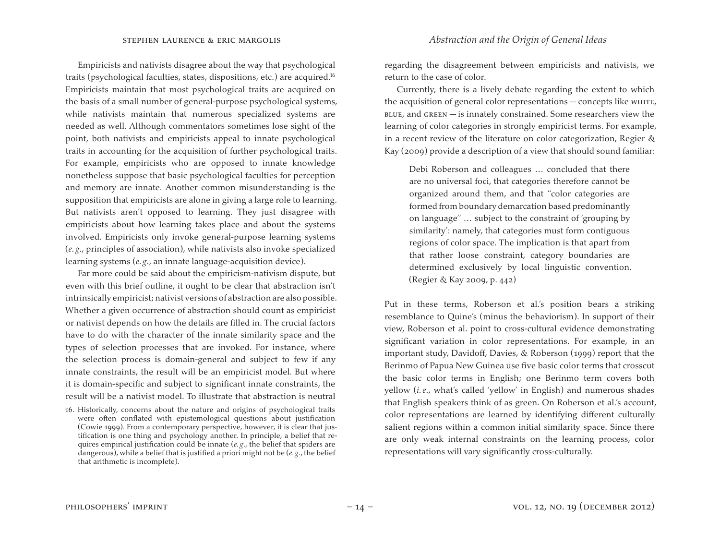Empiricists and nativists disagree about the way that psychological traits (psychological faculties, states, dispositions, etc.) are acquired.<sup>16</sup> Empiricists maintain that most psychological traits are acquired on the basis of a small number of general-purpose psychological systems, while nativists maintain that numerous specialized systems are needed as well. Although commentators sometimes lose sight of the point, both nativists and empiricists appeal to innate psychological traits in accounting for the acquisition of further psychological traits. For example, empiricists who are opposed to innate knowledge nonetheless suppose that basic psychological faculties for perception and memory are innate. Another common misunderstanding is the supposition that empiricists are alone in giving a large role to learning. But nativists aren't opposed to learning. They just disagree with empiricists about how learning takes place and about the systems involved. Empiricists only invoke general-purpose learning systems (*e. g*., principles of association), while nativists also invoke specialized learning systems (*e. g*., an innate language-acquisition device).

Far more could be said about the empiricism-nativism dispute, but even with this brief outline, it ought to be clear that abstraction isn't intrinsically empiricist; nativist versions of abstraction are also possible. Whether a given occurrence of abstraction should count as empiricist or nativist depends on how the details are filled in. The crucial factors have to do with the character of the innate similarity space and the types of selection processes that are invoked. For instance, where the selection process is domain-general and subject to few if any innate constraints, the result will be an empiricist model. But where it is domain-specific and subject to significant innate constraints, the result will be a nativist model. To illustrate that abstraction is neutral

regarding the disagreement between empiricists and nativists, we return to the case of color.

Currently, there is a lively debate regarding the extent to which the acquisition of general color representations — concepts like white,  $B$ LUE, and  $G$ REEN  $-$  is innately constrained. Some researchers view the learning of color categories in strongly empiricist terms. For example, in a recent review of the literature on color categorization, Regier & Kay (2009) provide a description of a view that should sound familiar:

Debi Roberson and colleagues … concluded that there are no universal foci, that categories therefore cannot be organized around them, and that ''color categories are formed from boundary demarcation based predominantly on language'' … subject to the constraint of 'grouping by similarity': namely, that categories must form contiguous regions of color space. The implication is that apart from that rather loose constraint, category boundaries are determined exclusively by local linguistic convention. (Regier & Kay 2009, p. 442)

Put in these terms, Roberson et al.'s position bears a striking resemblance to Quine's (minus the behaviorism). In support of their view, Roberson et al. point to cross-cultural evidence demonstrating significant variation in color representations. For example, in an important study, Davidoff, Davies, & Roberson (1999) report that the Berinmo of Papua New Guinea use five basic color terms that crosscut the basic color terms in English; one Berinmo term covers both yellow (*i. e*., what's called 'yellow' in English) and numerous shades that English speakers think of as green. On Roberson et al.'s account, color representations are learned by identifying different culturally salient regions within a common initial similarity space. Since there are only weak internal constraints on the learning process, color representations will vary significantly cross-culturally.

<sup>16.</sup> Historically, concerns about the nature and origins of psychological traits were often conflated with epistemological questions about justification (Cowie 1999). From a contemporary perspective, however, it is clear that justification is one thing and psychology another. In principle, a belief that requires empirical justification could be innate (*e. g*., the belief that spiders are dangerous), while a belief that is justified a priori might not be (*e. g*., the belief that arithmetic is incomplete).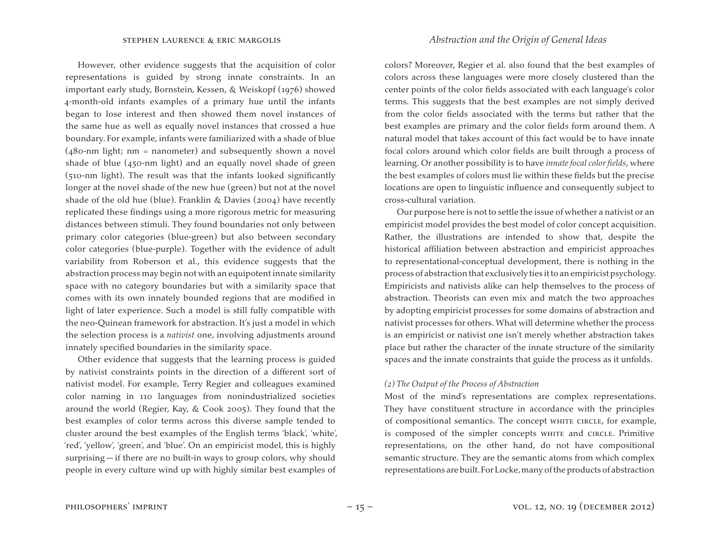However, other evidence suggests that the acquisition of color representations is guided by strong innate constraints. In an important early study, Bornstein, Kessen, & Weiskopf (1976) showed 4-month-old infants examples of a primary hue until the infants began to lose interest and then showed them novel instances of the same hue as well as equally novel instances that crossed a hue boundary. For example, infants were familiarized with a shade of blue  $(480-nm$  light; nm = nanometer) and subsequently shown a novel shade of blue (450-nm light) and an equally novel shade of green (510-nm light). The result was that the infants looked significantly longer at the novel shade of the new hue (green) but not at the novel shade of the old hue (blue). Franklin & Davies (2004) have recently replicated these findings using a more rigorous metric for measuring distances between stimuli. They found boundaries not only between primary color categories (blue-green) but also between secondary color categories (blue-purple). Together with the evidence of adult variability from Roberson et al., this evidence suggests that the abstraction process may begin not with an equipotent innate similarity space with no category boundaries but with a similarity space that comes with its own innately bounded regions that are modified in light of later experience. Such a model is still fully compatible with the neo-Quinean framework for abstraction. It's just a model in which the selection process is a *nativist* one, involving adjustments around innately specified boundaries in the similarity space.

Other evidence that suggests that the learning process is guided by nativist constraints points in the direction of a different sort of nativist model. For example, Terry Regier and colleagues examined color naming in 110 languages from nonindustrialized societies around the world (Regier, Kay, & Cook 2005). They found that the best examples of color terms across this diverse sample tended to cluster around the best examples of the English terms 'black', 'white', 'red', 'yellow', 'green', and 'blue'. On an empiricist model, this is highly surprising — if there are no built-in ways to group colors, why should people in every culture wind up with highly similar best examples of

colors? Moreover, Regier et al. also found that the best examples of colors across these languages were more closely clustered than the center points of the color fields associated with each language's color terms. This suggests that the best examples are not simply derived from the color fields associated with the terms but rather that the best examples are primary and the color fields form around them. A natural model that takes account of this fact would be to have innate focal colors around which color fields are built through a process of learning. Or another possibility is to have *innate focal color fields*, where the best examples of colors must lie within these fields but the precise locations are open to linguistic influence and consequently subject to cross-cultural variation.

Our purpose here is not to settle the issue of whether a nativist or an empiricist model provides the best model of color concept acquisition. Rather, the illustrations are intended to show that, despite the historical affiliation between abstraction and empiricist approaches to representational-conceptual development, there is nothing in the process of abstraction that exclusively ties it to an empiricist psychology. Empiricists and nativists alike can help themselves to the process of abstraction. Theorists can even mix and match the two approaches by adopting empiricist processes for some domains of abstraction and nativist processes for others. What will determine whether the process is an empiricist or nativist one isn't merely whether abstraction takes place but rather the character of the innate structure of the similarity spaces and the innate constraints that guide the process as it unfolds.

#### *(2) The Output of the Process of Abstraction*

Most of the mind's representations are complex representations. They have constituent structure in accordance with the principles of compositional semantics. The concept white circle, for example, is composed of the simpler concepts white and circle. Primitive representations, on the other hand, do not have compositional semantic structure. They are the semantic atoms from which complex representations are built. For Locke, many of the products of abstraction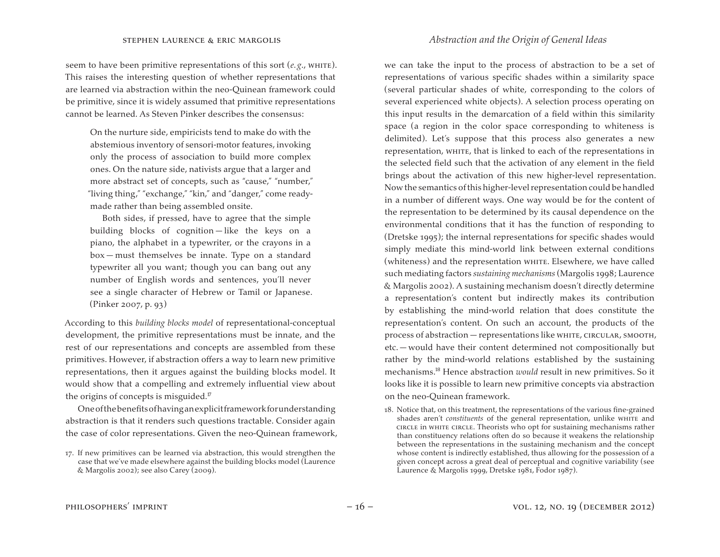seem to have been primitive representations of this sort (*e. g*., white). This raises the interesting question of whether representations that are learned via abstraction within the neo-Quinean framework could be primitive, since it is widely assumed that primitive representations cannot be learned. As Steven Pinker describes the consensus:

On the nurture side, empiricists tend to make do with the abstemious inventory of sensori-motor features, invoking only the process of association to build more complex ones. On the nature side, nativists argue that a larger and more abstract set of concepts, such as "cause," "number," "living thing," "exchange," "kin," and "danger," come readymade rather than being assembled onsite.

Both sides, if pressed, have to agree that the simple building blocks of cognition — like the keys on a piano, the alphabet in a typewriter, or the crayons in a box — must themselves be innate. Type on a standard typewriter all you want; though you can bang out any number of English words and sentences, you'll never see a single character of Hebrew or Tamil or Japanese. (Pinker 2007, p. 93)

According to this *building blocks model* of representational-conceptual development, the primitive representations must be innate, and the rest of our representations and concepts are assembled from these primitives. However, if abstraction offers a way to learn new primitive representations, then it argues against the building blocks model. It would show that a compelling and extremely influential view about the origins of concepts is misguided.<sup>17</sup>

Oneofthebenefitsofhavinganexplicitframeworkforunderstanding abstraction is that it renders such questions tractable. Consider again the case of color representations. Given the neo-Quinean framework,

# stephen laurence & eric margolis *Abstraction and the Origin of General Ideas*

we can take the input to the process of abstraction to be a set of representations of various specific shades within a similarity space (several particular shades of white, corresponding to the colors of several experienced white objects). A selection process operating on this input results in the demarcation of a field within this similarity space (a region in the color space corresponding to whiteness is delimited). Let's suppose that this process also generates a new representation, WHITE, that is linked to each of the representations in the selected field such that the activation of any element in the field brings about the activation of this new higher-level representation. Now the semantics of this higher-level representation could be handled in a number of different ways. One way would be for the content of the representation to be determined by its causal dependence on the environmental conditions that it has the function of responding to (Dretske 1995); the internal representations for specific shades would simply mediate this mind-world link between external conditions (whiteness) and the representation white. Elsewhere, we have called such mediating factors *sustaining mechanisms* (Margolis 1998; Laurence & Margolis 2002). A sustaining mechanism doesn't directly determine a representation's content but indirectly makes its contribution by establishing the mind-world relation that does constitute the representation's content. On such an account, the products of the process of abstraction — representations like white, circular, smooth, etc.— would have their content determined not compositionally but rather by the mind-world relations established by the sustaining mechanisms.<sup>18</sup> Hence abstraction *would* result in new primitives. So it looks like it is possible to learn new primitive concepts via abstraction on the neo-Quinean framework.

18. Notice that, on this treatment, the representations of the various fine-grained shades aren't *constituents* of the general representation, unlike whire and circle in white circle. Theorists who opt for sustaining mechanisms rather than constituency relations often do so because it weakens the relationship between the representations in the sustaining mechanism and the concept whose content is indirectly established, thus allowing for the possession of a given concept across a great deal of perceptual and cognitive variability (see Laurence & Margolis 1999, Dretske 1981, Fodor 1987).

<sup>17.</sup> If new primitives can be learned via abstraction, this would strengthen the case that we've made elsewhere against the building blocks model (Laurence & Margolis 2002); see also Carey (2009).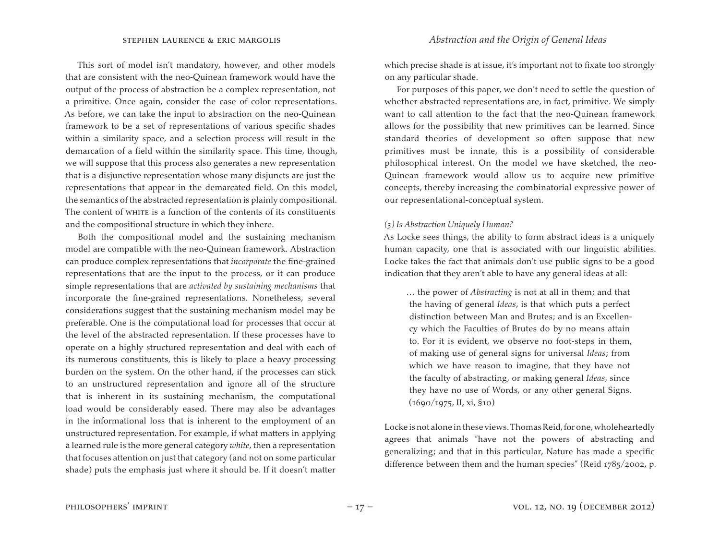This sort of model isn't mandatory, however, and other models that are consistent with the neo-Quinean framework would have the output of the process of abstraction be a complex representation, not a primitive. Once again, consider the case of color representations. As before, we can take the input to abstraction on the neo-Quinean framework to be a set of representations of various specific shades within a similarity space, and a selection process will result in the demarcation of a field within the similarity space. This time, though, we will suppose that this process also generates a new representation that is a disjunctive representation whose many disjuncts are just the representations that appear in the demarcated field. On this model, the semantics of the abstracted representation is plainly compositional. The content of white is a function of the contents of its constituents and the compositional structure in which they inhere.

Both the compositional model and the sustaining mechanism model are compatible with the neo-Quinean framework. Abstraction can produce complex representations that *incorporate* the fine-grained representations that are the input to the process, or it can produce simple representations that are *activated by sustaining mechanisms* that incorporate the fine-grained representations. Nonetheless, several considerations suggest that the sustaining mechanism model may be preferable. One is the computational load for processes that occur at the level of the abstracted representation. If these processes have to operate on a highly structured representation and deal with each of its numerous constituents, this is likely to place a heavy processing burden on the system. On the other hand, if the processes can stick to an unstructured representation and ignore all of the structure that is inherent in its sustaining mechanism, the computational load would be considerably eased. There may also be advantages in the informational loss that is inherent to the employment of an unstructured representation. For example, if what matters in applying a learned rule is the more general category *white*, then a representation that focuses attention on just that category (and not on some particular shade) puts the emphasis just where it should be. If it doesn't matter which precise shade is at issue, it's important not to fixate too strongly on any particular shade.

For purposes of this paper, we don't need to settle the question of whether abstracted representations are, in fact, primitive. We simply want to call attention to the fact that the neo-Quinean framework allows for the possibility that new primitives can be learned. Since standard theories of development so often suppose that new primitives must be innate, this is a possibility of considerable philosophical interest. On the model we have sketched, the neo-Quinean framework would allow us to acquire new primitive concepts, thereby increasing the combinatorial expressive power of our representational-conceptual system.

## *(3) Is Abstraction Uniquely Human?*

As Locke sees things, the ability to form abstract ideas is a uniquely human capacity, one that is associated with our linguistic abilities. Locke takes the fact that animals don't use public signs to be a good indication that they aren't able to have any general ideas at all:

… the power of *Abstracting* is not at all in them; and that the having of general *Ideas*, is that which puts a perfect distinction between Man and Brutes; and is an Excellency which the Faculties of Brutes do by no means attain to. For it is evident, we observe no foot-steps in them, of making use of general signs for universal *Ideas*; from which we have reason to imagine, that they have not the faculty of abstracting, or making general *Ideas*, since they have no use of Words, or any other general Signs.  $(1690/1975, \text{II}, \text{xi}, \text{S}10)$ 

Locke is not alone in these views. Thomas Reid, for one, wholeheartedly agrees that animals "have not the powers of abstracting and generalizing; and that in this particular, Nature has made a specific difference between them and the human species" (Reid 1785/2002, p.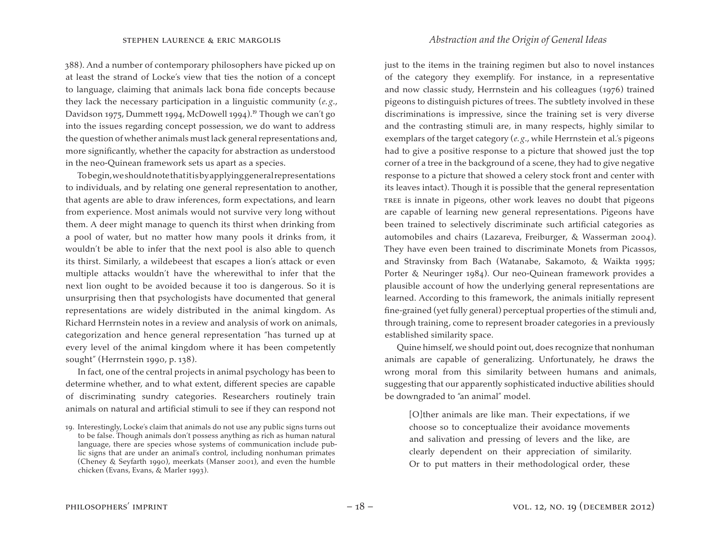388). And a number of contemporary philosophers have picked up on at least the strand of Locke's view that ties the notion of a concept to language, claiming that animals lack bona fide concepts because they lack the necessary participation in a linguistic community (*e. g*., Davidson 1975, Dummett 1994, McDowell 1994).<sup>19</sup> Though we can't go into the issues regarding concept possession, we do want to address the question of whether animals must lack general representations and, more significantly, whether the capacity for abstraction as understood in the neo-Quinean framework sets us apart as a species.

Tobegin,weshouldnotethatitisbyapplyinggeneralrepresentations to individuals, and by relating one general representation to another, that agents are able to draw inferences, form expectations, and learn from experience. Most animals would not survive very long without them. A deer might manage to quench its thirst when drinking from a pool of water, but no matter how many pools it drinks from, it wouldn't be able to infer that the next pool is also able to quench its thirst. Similarly, a wildebeest that escapes a lion's attack or even multiple attacks wouldn't have the wherewithal to infer that the next lion ought to be avoided because it too is dangerous. So it is unsurprising then that psychologists have documented that general representations are widely distributed in the animal kingdom. As Richard Herrnstein notes in a review and analysis of work on animals, categorization and hence general representation "has turned up at every level of the animal kingdom where it has been competently sought" (Herrnstein 1990, p. 138).

In fact, one of the central projects in animal psychology has been to determine whether, and to what extent, different species are capable of discriminating sundry categories. Researchers routinely train animals on natural and artificial stimuli to see if they can respond not just to the items in the training regimen but also to novel instances of the category they exemplify. For instance, in a representative and now classic study, Herrnstein and his colleagues (1976) trained pigeons to distinguish pictures of trees. The subtlety involved in these discriminations is impressive, since the training set is very diverse and the contrasting stimuli are, in many respects, highly similar to exemplars of the target category (*e. g*., while Herrnstein et al.'s pigeons had to give a positive response to a picture that showed just the top corner of a tree in the background of a scene, they had to give negative response to a picture that showed a celery stock front and center with its leaves intact). Though it is possible that the general representation tree is innate in pigeons, other work leaves no doubt that pigeons are capable of learning new general representations. Pigeons have been trained to selectively discriminate such artificial categories as automobiles and chairs (Lazareva, Freiburger, & Wasserman 2004). They have even been trained to discriminate Monets from Picassos, and Stravinsky from Bach (Watanabe, Sakamoto, & Waikta 1995; Porter & Neuringer 1984). Our neo-Quinean framework provides a plausible account of how the underlying general representations are learned. According to this framework, the animals initially represent fine-grained (yet fully general) perceptual properties of the stimuli and, through training, come to represent broader categories in a previously established similarity space.

Quine himself, we should point out, does recognize that nonhuman animals are capable of generalizing. Unfortunately, he draws the wrong moral from this similarity between humans and animals, suggesting that our apparently sophisticated inductive abilities should be downgraded to "an animal" model.

[O]ther animals are like man. Their expectations, if we choose so to conceptualize their avoidance movements and salivation and pressing of levers and the like, are clearly dependent on their appreciation of similarity. Or to put matters in their methodological order, these

<sup>19.</sup> Interestingly, Locke's claim that animals do not use any public signs turns out to be false. Though animals don't possess anything as rich as human natural language, there are species whose systems of communication include public signs that are under an animal's control, including nonhuman primates (Cheney & Seyfarth 1990), meerkats (Manser 2001), and even the humble chicken (Evans, Evans, & Marler 1993).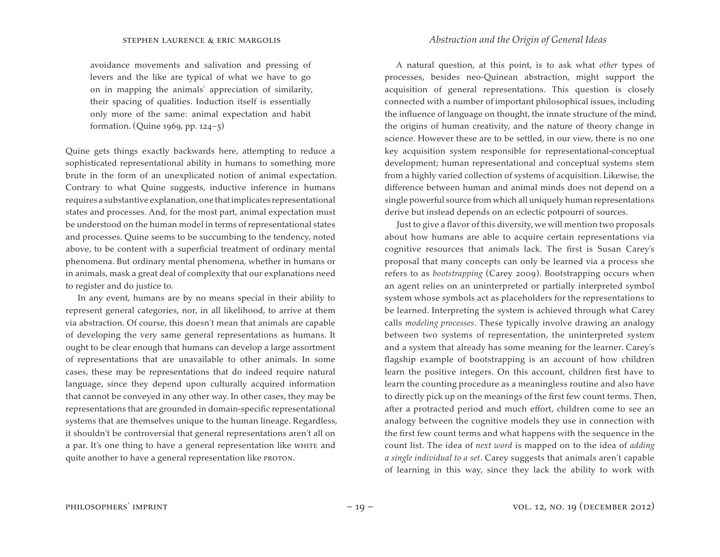avoidance movements and salivation and pressing of levers and the like are typical of what we have to go on in mapping the animals' appreciation of similarity, their spacing of qualities. Induction itself is essentially only more of the same: animal expectation and habit formation. (Quine 1969, pp. 124–5)

Quine gets things exactly backwards here, attempting to reduce a sophisticated representational ability in humans to something more brute in the form of an unexplicated notion of animal expectation. Contrary to what Quine suggests, inductive inference in humans requiresasubstantiveexplanation,onethatimplicates representational states and processes. And, for the most part, animal expectation must be understood on the human model in terms of representational states and processes. Quine seems to be succumbing to the tendency, noted above, to be content with a superficial treatment of ordinary mental phenomena. But ordinary mental phenomena, whether in humans or in animals, mask a great deal of complexity that our explanations need to register and do justice to.

In any event, humans are by no means special in their ability to represent general categories, nor, in all likelihood, to arrive at them via abstraction. Of course, this doesn't mean that animals are capable of developing the very same general representations as humans. It ought to be clear enough that humans can develop a large assortment of representations that are unavailable to other animals. In some cases, these may be representations that do indeed require natural language, since they depend upon culturally acquired information that cannot be conveyed in any other way. In other cases, they may be representations that are grounded in domain-specific representational systems that are themselves unique to the human lineage. Regardless, it shouldn't be controversial that general representations aren't all on a par. It's one thing to have a general representation like whire and quite another to have a general representation like PROTON.

# stephen laurence & eric margolis *Abstraction and the Origin of General Ideas*

A natural question, at this point, is to ask what *other* types of processes, besides neo-Quinean abstraction, might support the acquisition of general representations. This question is closely connected with a number of important philosophical issues, including the influence of language on thought, the innate structure of the mind, the origins of human creativity, and the nature of theory change in science. However these are to be settled, in our view, there is no one key acquisition system responsible for representational-conceptual development; human representational and conceptual systems stem from a highly varied collection of systems of acquisition. Likewise, the difference between human and animal minds does not depend on a single powerful source from which all uniquely human representations derive but instead depends on an eclectic potpourri of sources.

Just to give a flavor of this diversity, we will mention two proposals about how humans are able to acquire certain representations via cognitive resources that animals lack. The first is Susan Carey's proposal that many concepts can only be learned via a process she refers to as *bootstrapping* (Carey 2009). Bootstrapping occurs when an agent relies on an uninterpreted or partially interpreted symbol system whose symbols act as placeholders for the representations to be learned. Interpreting the system is achieved through what Carey calls *modeling processes*. These typically involve drawing an analogy between two systems of representation, the uninterpreted system and a system that already has some meaning for the learner. Carey's flagship example of bootstrapping is an account of how children learn the positive integers. On this account, children first have to learn the counting procedure as a meaningless routine and also have to directly pick up on the meanings of the first few count terms. Then, after a protracted period and much effort, children come to see an analogy between the cognitive models they use in connection with the first few count terms and what happens with the sequence in the count list. The idea of *next word* is mapped on to the idea of *adding a single individual to a set*. Carey suggests that animals aren't capable of learning in this way, since they lack the ability to work with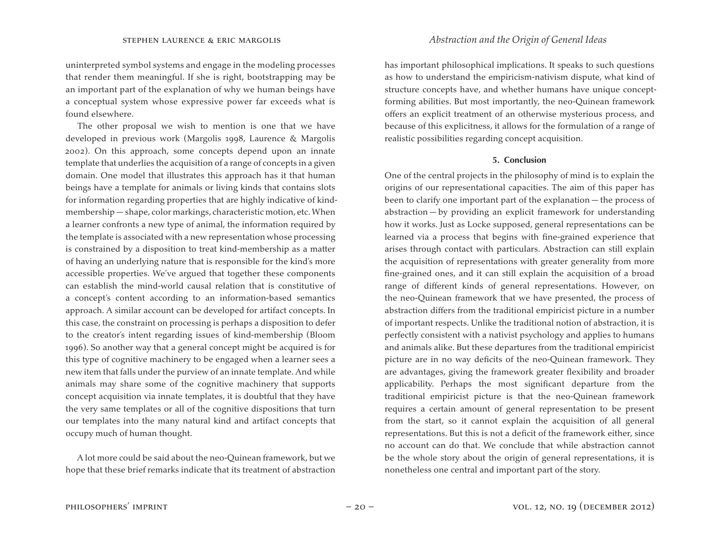uninterpreted symbol systems and engage in the modeling processes that render them meaningful. If she is right, bootstrapping may be an important part of the explanation of why we human beings have a conceptual system whose expressive power far exceeds what is found elsewhere.

The other proposal we wish to mention is one that we have developed in previous work (Margolis 1998, Laurence & Margolis 2002). On this approach, some concepts depend upon an innate template that underlies the acquisition of a range of concepts in a given domain. One model that illustrates this approach has it that human beings have a template for animals or living kinds that contains slots for information regarding properties that are highly indicative of kindmembership — shape, color markings, characteristic motion, etc.When a learner confronts a new type of animal, the information required by the template is associated with a new representation whose processing is constrained by a disposition to treat kind-membership as a matter of having an underlying nature that is responsible for the kind's more accessible properties. We've argued that together these components can establish the mind-world causal relation that is constitutive of a concept's content according to an information-based semantics approach. A similar account can be developed for artifact concepts. In this case, the constraint on processing is perhaps a disposition to defer to the creator's intent regarding issues of kind-membership (Bloom 1996). So another way that a general concept might be acquired is for this type of cognitive machinery to be engaged when a learner sees a new item that falls under the purview of an innate template. And while animals may share some of the cognitive machinery that supports concept acquisition via innate templates, it is doubtful that they have the very same templates or all of the cognitive dispositions that turn our templates into the many natural kind and artifact concepts that occupy much of human thought.

A lot more could be said about the neo-Quinean framework, but we hope that these brief remarks indicate that its treatment of abstraction has important philosophical implications. It speaks to such questions as how to understand the empiricism-nativism dispute, what kind of structure concepts have, and whether humans have unique conceptforming abilities. But most importantly, the neo-Quinean framework offers an explicit treatment of an otherwise mysterious process, and because of this explicitness, it allows for the formulation of a range of realistic possibilities regarding concept acquisition.

## **5. Conclusion**

One of the central projects in the philosophy of mind is to explain the origins of our representational capacities. The aim of this paper has been to clarify one important part of the explanation — the process of abstraction — by providing an explicit framework for understanding how it works. Just as Locke supposed, general representations can be learned via a process that begins with fine-grained experience that arises through contact with particulars. Abstraction can still explain the acquisition of representations with greater generality from more fine-grained ones, and it can still explain the acquisition of a broad range of different kinds of general representations. However, on the neo-Quinean framework that we have presented, the process of abstraction differs from the traditional empiricist picture in a number of important respects. Unlike the traditional notion of abstraction, it is perfectly consistent with a nativist psychology and applies to humans and animals alike. But these departures from the traditional empiricist picture are in no way deficits of the neo-Quinean framework. They are advantages, giving the framework greater flexibility and broader applicability. Perhaps the most significant departure from the traditional empiricist picture is that the neo-Quinean framework requires a certain amount of general representation to be present from the start, so it cannot explain the acquisition of all general representations. But this is not a deficit of the framework either, since no account can do that. We conclude that while abstraction cannot be the whole story about the origin of general representations, it is nonetheless one central and important part of the story.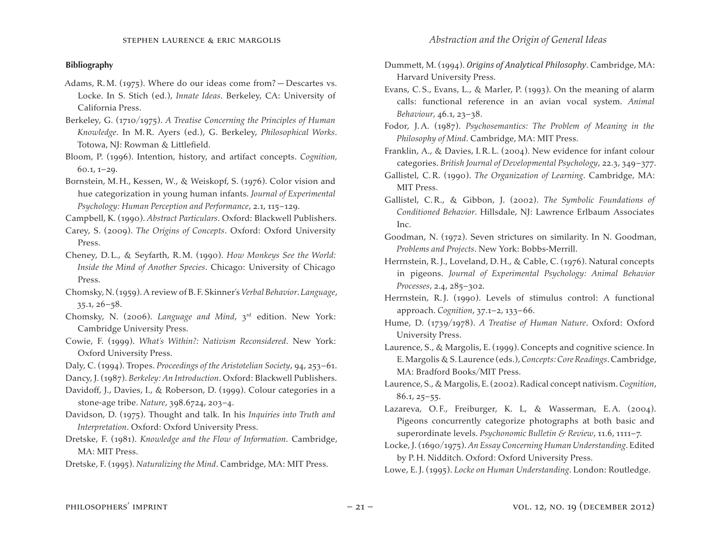# **Bibliography**

- Adams, R.M. (1975). Where do our ideas come from? Descartes vs. Locke. In S. Stich (ed.), *Innate Ideas*. Berkeley, CA: University of California Press.
- Berkeley, G. (1710/1975). *A Treatise Concerning the Principles of Human Knowledge*. In M.R. Ayers (ed.), G. Berkeley, *Philosophical Works*. Totowa, NJ: Rowman & Littlefield.
- Bloom, P. (1996). Intention, history, and artifact concepts. *Cognition,* 60.1, 1–29.
- Bornstein, M. H., Kessen, W., & Weiskopf, S. (1976). Color vision and hue categorization in young human infants. *Journal of Experimental Psychology: Human Perception and Performance*, 2.1, 115–129.
- Campbell, K. (1990). *Abstract Particulars*. Oxford: Blackwell Publishers.
- Carey, S. (2009). *The Origins of Concepts*. Oxford: Oxford University Press.
- Cheney, D.L., & Seyfarth, R.M. (1990). *How Monkeys See the World: Inside the Mind of Another Species*. Chicago: University of Chicago Press.
- Chomsky,N.(1959).A review of B. F. Skinner's *Verbal Behavior*. *Language*, 35.1, 26–58.
- Chomsky, N. (2006). *Language and Mind*, 3rd edition. New York: Cambridge University Press.
- Cowie, F. (1999). *What's Within?: Nativism Reconsidered*. New York: Oxford University Press.
- Daly, C. (1994). Tropes. *Proceedings of the Aristotelian Society*, 94, 253–61.
- Dancy, J.(1987). *Berkeley: An Introduction*. Oxford: Blackwell Publishers.
- Davidoff, J., Davies, I., & Roberson, D. (1999). Colour categories in a stone-age tribe. *Nature*, 398.6724, 203–4.
- Davidson, D. (1975). Thought and talk. In his *Inquiries into Truth and Interpretation*. Oxford: Oxford University Press.
- Dretske, F. (1981). *Knowledge and the Flow of Information*. Cambridge, MA: MIT Press.
- Dretske, F. (1995). *Naturalizing the Mind*. Cambridge, MA: MIT Press.
- Dummett, M. (1994). *Origins of Analytical Philosophy*. Cambridge, MA: Harvard University Press.
- Evans, C.S., Evans, L., & Marler, P. (1993). On the meaning of alarm calls: functional reference in an avian vocal system. *Animal Behaviour*, 46.1, 23–38.
- Fodor, J.A. (1987). *Psychosemantics: The Problem of Meaning in the Philosophy of Mind*. Cambridge, MA: MIT Press.
- Franklin, A., & Davies, I.R.L. (2004). New evidence for infant colour categories. *British Journal of Developmental Psychology*, 22.3, 349–377.
- Gallistel, C.R. (1990). *The Organization of Learning*. Cambridge, MA: MIT Press.
- Gallistel, C.R., & Gibbon, J. (2002). *The Symbolic Foundations of Conditioned Behavior*. Hillsdale, NJ: Lawrence Erlbaum Associates Inc.
- Goodman, N. (1972). Seven strictures on similarity. In N. Goodman, *Problems and Projects*. New York: Bobbs-Merrill.
- Herrnstein, R.J., Loveland, D. H., & Cable, C. (1976). Natural concepts in pigeons. *Journal of Experimental Psychology: Animal Behavior Processes*, 2.4, 285–302.
- Herrnstein, R.J. (1990). Levels of stimulus control: A functional approach. *Cognition*, 37.1–2, 133–66.
- Hume, D. (1739/1978). *A Treatise of Human Nature*. Oxford: Oxford University Press.
- Laurence, S., & Margolis, E. (1999). Concepts and cognitive science. In E.Margolis & S.Laurence (eds.),*Concepts: Core Readings*.Cambridge, MA: Bradford Books/MIT Press.
- Laurence, S.,& Margolis,E.(2002).Radical concept nativism.*Cognition*, 86.1, 25–55.
- Lazareva, O.F., Freiburger, K. L, & Wasserman, E.A. (2004). Pigeons concurrently categorize photographs at both basic and superordinate levels. *Psychonomic Bulletin & Review*, 11.6, 1111–7.
- Locke,J.(1690/1975).*An Essay Concerning Human Understanding*. Edited by P. H. Nidditch. Oxford: Oxford University Press.
- Lowe, E.J. (1995). *Locke on Human Understanding*. London: Routledge.